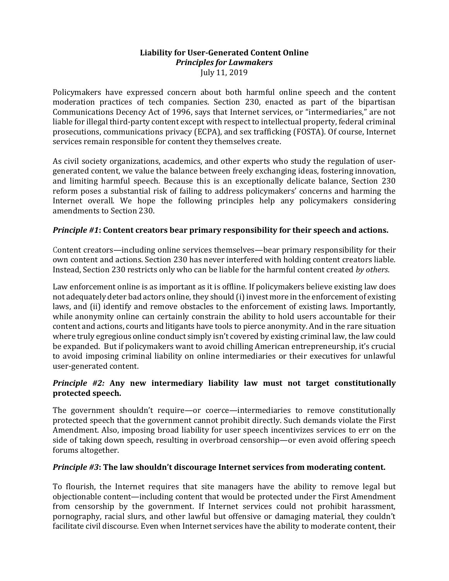#### **Liability for User-Generated Content Online** *Principles for Lawmakers* July 11, 2019

Policymakers have expressed concern about both harmful online speech and the content moderation practices of tech companies. Section 230, enacted as part of the bipartisan Communications Decency Act of 1996, says that Internet services, or "intermediaries," are not liable for illegal third-party content except with respect to intellectual property, federal criminal prosecutions, communications privacy (ECPA), and sex trafficking (FOSTA). Of course, Internet services remain responsible for content they themselves create.

As civil society organizations, academics, and other experts who study the regulation of usergenerated content, we value the balance between freely exchanging ideas, fostering innovation, and limiting harmful speech. Because this is an exceptionally delicate balance, Section 230 reform poses a substantial risk of failing to address policymakers' concerns and harming the Internet overall. We hope the following principles help any policymakers considering amendments to Section 230.

#### *Principle #1***: Content creators bear primary responsibility for their speech and actions.**

Content creators—including online services themselves—bear primary responsibility for their own content and actions. Section 230 has never interfered with holding content creators liable. Instead, Section 230 restricts only who can be liable for the harmful content created *by others*.

Law enforcement online is as important as it is offline. If policymakers believe existing law does not adequately deter bad actors online, they should (i) invest more in the enforcement of existing laws, and (ii) identify and remove obstacles to the enforcement of existing laws. Importantly, while anonymity online can certainly constrain the ability to hold users accountable for their content and actions, courts and litigants have tools to pierce anonymity. And in the rare situation where truly egregious online conduct simply isn't covered by existing criminal law, the law could be expanded. But if policymakers want to avoid chilling American entrepreneurship, it's crucial to avoid imposing criminal liability on online intermediaries or their executives for unlawful user-generated content.

#### *Principle #2:* **Any new intermediary liability law must not target constitutionally protected speech.**

The government shouldn't require—or coerce—intermediaries to remove constitutionally protected speech that the government cannot prohibit directly. Such demands violate the First Amendment. Also, imposing broad liability for user speech incentivizes services to err on the side of taking down speech, resulting in overbroad censorship—or even avoid offering speech forums altogether.

#### *Principle #3***: The law shouldn't discourage Internet services from moderating content.**

To flourish, the Internet requires that site managers have the ability to remove legal but objectionable content—including content that would be protected under the First Amendment from censorship by the government. If Internet services could not prohibit harassment, pornography, racial slurs, and other lawful but offensive or damaging material, they couldn't facilitate civil discourse. Even when Internet services have the ability to moderate content, their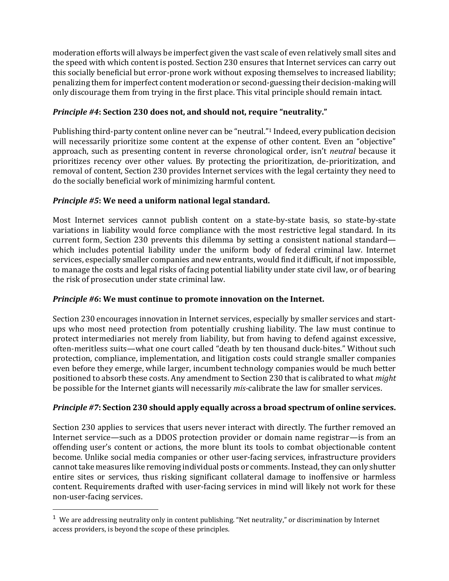moderation efforts will always be imperfect given the vast scale of even relatively small sites and the speed with which content is posted. Section 230 ensures that Internet services can carry out this socially beneficial but error-prone work without exposing themselves to increased liability; penalizing them for imperfect content moderation or second-guessing their decision-making will only discourage them from trying in the first place. This vital principle should remain intact.

## *Principle #4***: Section 230 does not, and should not, require "neutrality."**

Publishing third-party content online never can be "neutral."<sup>1</sup> Indeed, every publication decision will necessarily prioritize some content at the expense of other content. Even an "objective" approach, such as presenting content in reverse chronological order, isn't *neutral* because it prioritizes recency over other values. By protecting the prioritization, de-prioritization, and removal of content, Section 230 provides Internet services with the legal certainty they need to do the socially beneficial work of minimizing harmful content.

## *Principle #5***: We need a uniform national legal standard.**

Most Internet services cannot publish content on a state-by-state basis, so state-by-state variations in liability would force compliance with the most restrictive legal standard. In its current form, Section 230 prevents this dilemma by setting a consistent national standard which includes potential liability under the uniform body of federal criminal law. Internet services, especially smaller companies and new entrants, would find it difficult, if not impossible, to manage the costs and legal risks of facing potential liability under state civil law, or of bearing the risk of prosecution under state criminal law.

### *Principle #6***: We must continue to promote innovation on the Internet.**

Section 230 encourages innovation in Internet services, especially by smaller services and startups who most need protection from potentially crushing liability. The law must continue to protect intermediaries not merely from liability, but from having to defend against excessive, often-meritless suits—what one court called "death by ten thousand duck-bites." Without such protection, compliance, implementation, and litigation costs could strangle smaller companies even before they emerge, while larger, incumbent technology companies would be much better positioned to absorb these costs. Any amendment to Section 230 that is calibrated to what *might*  be possible for the Internet giants will necessarily *mis-*calibrate the law for smaller services.

## *Principle #7***: Section 230 should apply equally across a broad spectrum of online services.**

Section 230 applies to services that users never interact with directly. The further removed an Internet service—such as a DDOS protection provider or domain name registrar—is from an offending user's content or actions, the more blunt its tools to combat objectionable content become. Unlike social media companies or other user-facing services, infrastructure providers cannot take measures like removing individual posts or comments. Instead, they can only shutter entire sites or services, thus risking significant collateral damage to inoffensive or harmless content. Requirements drafted with user-facing services in mind will likely not work for these non-user-facing services.

 $\overline{a}$ 

 $1$  We are addressing neutrality only in content publishing. "Net neutrality," or discrimination by Internet access providers, is beyond the scope of these principles.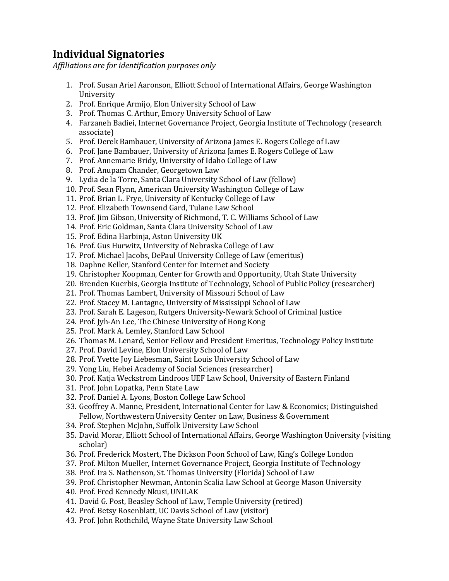# **Individual Signatories**

*Affiliations are for identification purposes only*

- 1. Prof. Susan Ariel Aaronson, Elliott School of International Affairs, George Washington University
- 2. Prof. Enrique Armijo, Elon University School of Law
- 3. Prof. Thomas C. Arthur, Emory University School of Law
- 4. Farzaneh Badiei, Internet Governance Project, Georgia Institute of Technology (research associate)
- 5. Prof. Derek Bambauer, University of Arizona James E. Rogers College of Law
- 6. Prof. Jane Bambauer, University of Arizona James E. Rogers College of Law
- 7. Prof. Annemarie Bridy, University of Idaho College of Law
- 8. Prof. Anupam Chander, Georgetown Law
- 9. Lydia de la Torre, Santa Clara University School of Law (fellow)
- 10. Prof. Sean Flynn, American University Washington College of Law
- 11. Prof. Brian L. Frye, University of Kentucky College of Law
- 12. Prof. Elizabeth Townsend Gard, Tulane Law School
- 13. Prof. Jim Gibson, University of Richmond, T. C. Williams School of Law
- 14. Prof. Eric Goldman, Santa Clara University School of Law
- 15. Prof. Edina Harbinja, Aston University UK
- 16. Prof. Gus Hurwitz, University of Nebraska College of Law
- 17. Prof. Michael Jacobs, DePaul University College of Law (emeritus)
- 18. Daphne Keller, Stanford Center for Internet and Society
- 19. Christopher Koopman, Center for Growth and Opportunity, Utah State University
- 20. Brenden Kuerbis, Georgia Institute of Technology, School of Public Policy (researcher)
- 21. Prof. Thomas Lambert, University of Missouri School of Law
- 22. Prof. Stacey M. Lantagne, University of Mississippi School of Law
- 23. Prof. Sarah E. Lageson, Rutgers University-Newark School of Criminal Justice
- 24. Prof. Jyh-An Lee, The Chinese University of Hong Kong
- 25. Prof. Mark A. Lemley, Stanford Law School
- 26. Thomas M. Lenard, Senior Fellow and President Emeritus, Technology Policy Institute
- 27. Prof. David Levine, Elon University School of Law
- 28. Prof. Yvette Joy Liebesman, Saint Louis University School of Law
- 29. Yong Liu, Hebei Academy of Social Sciences (researcher)
- 30. Prof. Katja Weckstrom Lindroos UEF Law School, University of Eastern Finland
- 31. Prof. John Lopatka, Penn State Law
- 32. Prof. Daniel A. Lyons, Boston College Law School
- 33. Geoffrey A. Manne, President, International Center for Law & Economics; Distinguished Fellow, Northwestern University Center on Law, Business & Government
- 34. Prof. Stephen McJohn, Suffolk University Law School
- 35. David Morar, Elliott School of International Affairs, George Washington University (visiting scholar)
- 36. Prof. Frederick Mostert, The Dickson Poon School of Law, King's College London
- 37. Prof. Milton Mueller, Internet Governance Project, Georgia Institute of Technology
- 38. Prof. Ira S. Nathenson, St. Thomas University (Florida) School of Law
- 39. Prof. Christopher Newman, Antonin Scalia Law School at George Mason University
- 40. Prof. Fred Kennedy Nkusi, UNILAK
- 41. David G. Post, Beasley School of Law, Temple University (retired)
- 42. Prof. Betsy Rosenblatt, UC Davis School of Law (visitor)
- 43. Prof. John Rothchild, Wayne State University Law School